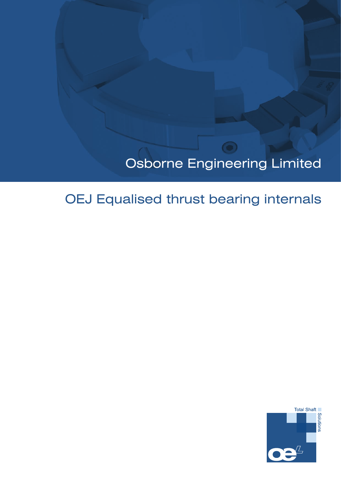# Osborne Engineering Limited

 $\circ$ 

# OEJ Equalised thrust bearing internals

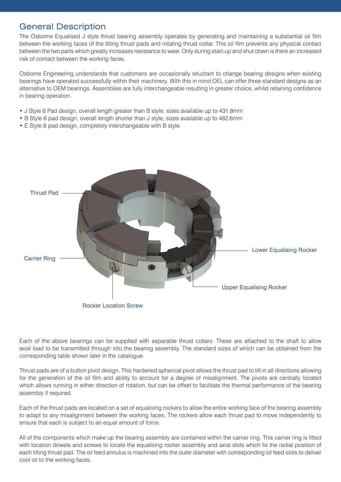## General Description

The Osborne Equalised J style thrust bearing assembly operates by generating and maintaining a substantial oil film between the working faces of the tilting thrust pads and rotating thrust collar. This oil film prevents any physical contact between the two parts which greatly increases resistance to wear. Only during start-up and shut down is there an increased risk of contact between the working faces.

Osborne Engineering understands that customers are occasionally reluctant to change bearing designs when existing bearings have operated successfully within their machinery. With this in mind OEL can offer three standard designs as an alternative to OEM bearings. Assemblies are fully interchangeable resulting in greater choice, whilst retaining confidence in bearing operation.

- J Style 6 Pad design, overall length greater than B style, sizes available up to 431.8mm
- B Style 6 pad design, overall length shorter than J style, sizes available up to 482.6mm
- E Style 8 pad design, completely interchangeable with B style.



Each of the above bearings can be supplied with separable thrust collars. These are attached to the shaft to allow axial load to be transmitted through into the bearing assembly. The standard sizes of which can be obtained from the corresponding table shown later in the catalogue.

Thrust pads are of a button pivot design. This hardened spherical pivot allows the thrust pad to tilt in all directions allowing for the generation of the oil film and ability to account for a degree of misalignment. The pivots are centrally located which allows running in either direction of rotation, but can be offset to facilitate the thermal performance of the bearing assembly if required.

Each of the thrust pads are located on a set of equalising rockers to allow the entire working face of the bearing assembly to adapt to any misalignment between the working faces. The rockers allow each thrust pad to move independently to ensure that each is subject to an equal amount of force.

All of the components which make up the bearing assembly are contained within the carrier ring. This carrier ring is fitted with location dowels and screws to locate the equalising rocker assembly and axial slots which fix the radial position of each tilting thrust pad. The oil feed annulus is machined into the outer diameter with corresponding oil feed slots to deliver cool oil to the working faces.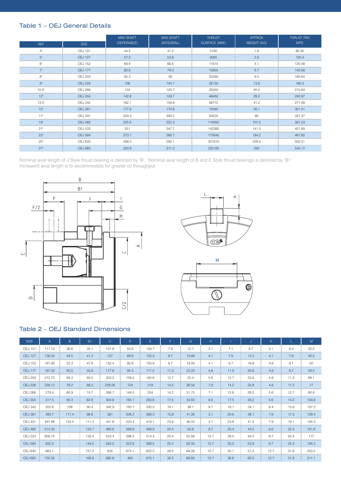#### Table 1 – OEJ General Details

|                 |                | <b>MAX SHAFT</b> | <b>MAX SHAFT</b> | <b>THRUST</b>              | <b>APPROX</b> | THRUST PAD |  |
|-----------------|----------------|------------------|------------------|----------------------------|---------------|------------|--|
| <b>REF</b>      | <b>SIZE</b>    | (SEPERABLE)      | (INTEGRAL)       | SURFACE (MM <sup>3</sup> ) | WEIGHT (KG)   | <b>MPD</b> |  |
| 4"              | <b>OEJ 101</b> | 44.5             | 41.2             | 5160                       | 1.6           | 80.32      |  |
| 5 <sup>°</sup>  | <b>OEJ 127</b> | 57.2             | 53.8             | 8065                       | 2.6           | 100.4      |  |
| 6"              | <b>OEJ 152</b> | 69.9             | 66.6             | 11615                      | 4.1           | 120.48     |  |
| 7 <sup>th</sup> | <b>OEJ 177</b> | 82.6             | 79.3             | 15805                      | 6.7           | 140.56     |  |
| 8"              | <b>OEJ 203</b> | 95.3             | 92               | 20260                      | 9.5           | 160.64     |  |
| $9"$            | <b>OEJ 228</b> | 108              | 104.7            | 26130                      | 13.8          | 180.3      |  |
| $10.5^{\circ}$  | <b>OEJ 266</b> | 124              | 120.7            | 35550                      | 20.4          | 210.84     |  |
| 12"             | <b>OEJ 304</b> | 142.8            | 139.7            | 46450                      | 29.2          | 240.97     |  |
| 13.5"           | <b>OEJ 342</b> | 162.1            | 158.8            | 58775                      | 41.2          | 271.09     |  |
| 15"             | <b>OEJ 381</b> | 177.8            | 174.8            | 72580                      | 56.1          | 301.21     |  |
| 17 <sup>°</sup> | <b>OEJ 431</b> | 203.2            | 200.2            | 93225                      | 80            | 341.37     |  |
| 19 <sup>°</sup> | <b>OEJ 482</b> | 225.6            | 222.3            | 116450                     | 107.5         | 381.53     |  |
| 21"             | <b>OEJ 533</b> | 251              | 247.7            | 142260                     | 141.5         | 421.69     |  |
| 23 <sup>°</sup> | <b>OEJ 584</b> | 273.1            | 266.7            | 170645                     | 184.2         | 461.85     |  |
| 25 <sup>°</sup> | <b>OEJ 635</b> | 298.5            | 292.1            | 201610                     | 229.5         | 502.01     |  |
| 27 <sup>°</sup> | <b>OEJ 685</b> | 320.6            | 311.2            | 235160                     | 292           | 542.17     |  |

Nominal axial length of J Style thrust bearing is denoted by 'B'. Nominal axial length of B and E Style thrust bearings is denoted by 'B1' Increased axial length is to accommodate for greater oil throughput







#### Table 2 – OEJ Standard Dimensions

| <b>SIZE</b>    | $\overline{A}$ | B                        | <b>B1</b> | $\mathsf{C}$ | D     | E.    | F    | G     | H    |      | J    | K.   |      | M     |
|----------------|----------------|--------------------------|-----------|--------------|-------|-------|------|-------|------|------|------|------|------|-------|
| <b>OEJ 101</b> | 111.12         | 36.6                     | 35.1      | 101.6        | 55.6  | 104.7 | 7.9  | 12.7  | 3.1  | 7.1  | 9.7  | 3.1  | 6.4  | 32.5  |
| <b>OEJ 127</b> | 136.52         | 44.5                     | 41.2      | 127          | 69.9  | 125.5 | 9.7  | 15.88 | 4.1  | 7.9  | 14.2 | 4.1  | 7.9  | 40.5  |
| <b>OEJ 152</b> | 161.92         | 52.3                     | 47.8      | 152.4        | 82.6  | 150.9 | 9.7  | 19.05 | 4.1  | 9.7  | 16.8 | 4.8  | 9.7  | 50    |
| <b>OEJ 177</b> | 187.32         | 60.5                     | 53.9      | 177.8        | 95.3  | 171.5 | 11.2 | 22.23 | 4.8  | 11.9 | 20.6 | 4.8  | 9.7  | 59.5  |
| <b>OEJ 203</b> | 212.72         | 68.3                     | 60.5      | 203.2        | 109.5 | 193.6 | 12.7 | 25.4  | 5.6  | 12.7 | 23.9 | 4.8  | 11.2 | 69.1  |
| <b>OEJ 228</b> | 238.12         | 76.2                     | 68.3      | 228.06       | 124   | 219   | 14.2 | 28.58 | 7.9  | 14.2 | 23.9 | 4.8  | 11.2 | 77    |
| <b>OEJ 266</b> | 279.4          | 85.9                     | 74.7      | 266.7        | 144.5 | 254   | 14.2 | 31.75 | 7.1  | 15.8 | 28.5 | 5.6  | 12.7 | 80.9  |
| <b>OEJ 304</b> | 317.5          | 95.3                     | 82.6      | 304.8        | 165.1 | 293.6 | 17.5 | 34.93 | 8.6  | 17.5 | 30.2 | 5.6  | 14.2 | 100.8 |
| <b>OEJ 342</b> | 355.6          | 108                      | 90.4      | 342.9        | 185.7 | 330.2 | 19.1 | 38.1  | 9.7  | 19.1 | 34.1 | 6.4  | 15.8 | 107.2 |
| <b>OEJ 381</b> | 393.7          | 117.4                    | 98.6      | 381          | 206.3 | 368.3 | 15.8 | 41.28 | 3.1  | 20.6 | 38.1 | 7.9  | 17.5 | 129.4 |
| <b>OEJ 431</b> | 447.68         | 133.4                    | 111.3     | 431.8        | 233.4 | 419.1 | 23.9 | 46.03 | 3.1  | 23.9 | 41.2 | 7.9  | 19.1 | 145.3 |
| <b>OEJ 482</b> | 514.35         | $\overline{\phantom{a}}$ | 120.7     | 482.6        | 269.8 | 469.9 | 22.4 | 50.8  | 9.7  | 25.4 | 44.5 | 8.6  | 22.4 | 151.6 |
| <b>OEJ 533</b> | 656.15         | $\sim$                   | 133.4     | 533.4        | 298.5 | 514.4 | 25.4 | 55.58 | 12.7 | 28.5 | 44.5 | 9.7  | 25.4 | 177   |
| <b>OEJ 584</b> | 622.3          | $\sim$                   | 144.5     | 584.2        | 323.9 | 568.5 | 25.4 | 60.33 | 12.7 | 33.3 | 53.9 | 9.7  | 25.4 | 195.3 |
| <b>OEJ 635</b> | 663.1          | $\overline{\phantom{a}}$ | 157.2     | 635          | 673.1 | 622.2 | 28.5 | 68.28 | 12.7 | 35.1 | 57.2 | 12.7 | 31.8 | 203.2 |
| <b>OEJ 685</b> | 730.25         | $\sim$                   | 169.9     | 685.8        | 400   | 673.1 | 30.2 | 69.85 | 12.7 | 36.6 | 60.5 | 12.7 | 31.8 | 211.1 |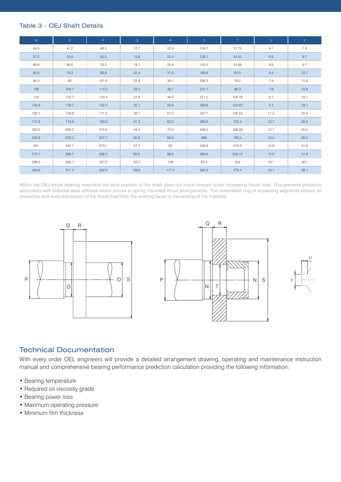#### Table 3 – OEJ Shaft Details

| N     | $\circ$ | P.    | Q    | R     | S     | T.     | U    | V    |
|-------|---------|-------|------|-------|-------|--------|------|------|
| 44.5  | 41.2    | 49.3  | 12.7 | 22.4  | 104.7 | 31.75  | 4.1  | 7.9  |
| 57.2  | 53.8    | 63.5  | 15.8 | 22.4  | 130.1 | 44.45  | 4.8  | 9.7  |
| 69.9  | 66.6    | 76.2  | 19.1 | 25.4  | 155.5 | 53.98  | 4.8  | 9.7  |
| 82.6  | 79.3    | 88.9  | 22.4 | 31.8  | 180.8 | 63.5   | 6.4  | 12.7 |
| 95.3  | 92      | 101.6 | 25.4 | 35.1  | 206.3 | 76.2   | 7.9  | 15.8 |
| 108   | 104.7   | 114.3 | 28.5 | 38.1  | 231.7 | 88.9   | 7.9  | 15.8 |
| 124   | 120.7   | 133.4 | 31.8 | 44.5  | 271.5 | 104.78 | 9.7  | 19.1 |
| 142.8 | 139.7   | 152.4 | 35.1 | 50.8  | 309.6 | 120.65 | 9.7  | 19.1 |
| 162.1 | 158.8   | 171.5 | 38.1 | 57.2  | 347.7 | 136.53 | 11.2 | 22.4 |
| 177.8 | 174.8   | 190.5 | 41.2 | 63.5  | 385.8 | 152.4  | 12.7 | 25.4 |
| 203.2 | 200.2   | 215.9 | 44.5 | 73.2  | 438.2 | 168.28 | 12.7 | 25.4 |
| 225.6 | 222.3   | 247.7 | 50.8 | 82.6  | 489   | 190.5  | 14.2 | 28.5 |
| 251   | 247.7   | 273.1 | 57.2 | 92    | 539.8 | 215.9  | 15.8 | 31.8 |
| 273.1 | 266.7   | 298.5 | 60.5 | 98.6  | 590.6 | 238.15 | 15.8 | 31.8 |
| 298.5 | 292.1   | 327.2 | 63.5 | 108   | 64.4  | 254    | 19.1 | 38.1 |
| 320.6 | 311.2   | 352.6 | 69.9 | 117.4 | 692.9 | 279.4  | 19.1 | 38.1 |

Within the OEJ thrust bearing assembly the axial position of the shaft does not move forward under increasing thrust load. This prevents problems associated with reduced axial stiffness which occurs in spring mounted thrust arrangements. The assembled ring of equalising segments ensure an unreactive and even distribution of the thrust load from the working faces to the seating of the machine.



## Technical Documentation

With every order OEL engineers will provide a detailed arrangement drawing, operating and maintenance instruction manual and comprehensive bearing performance prediction calculation providing the following information;

- Bearing temperature
- Required oil viscosity grade
- Bearing power loss
- Maximum operating pressure
- Minimum film thickness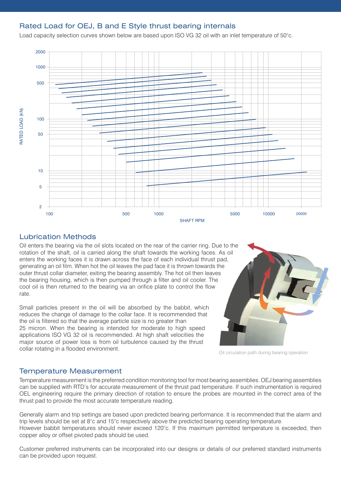## Rated Load for OEJ, B and E Style thrust bearing internals

Load capacity selection curves shown below are based upon ISO VG 32 oil with an inlet temperature of 50°c.



## Lubrication Methods

Oil enters the bearing via the oil slots located on the rear of the carrier ring. Due to the rotation of the shaft, oil is carried along the shaft towards the working faces. As oil enters the working faces it is drawn across the face of each individual thrust pad, generating an oil film. When hot the oil leaves the pad face it is thrown towards the outer thrust collar diameter, exiting the bearing assembly. The hot oil then leaves the bearing housing, which is then pumped through a filter and oil cooler. The cool oil is then returned to the bearing via an orifice plate to control the flow rate.

Small particles present in the oil will be absorbed by the babbit, which reduces the change of damage to the collar face. It is recommended that the oil is filtered so that the average particle size is no greater than 25 micron. When the bearing is intended for moderate to high speed applications ISO VG 32 oil is recommended. At high shaft velocities the major source of power loss is from oil turbulence caused by the thrust collar rotating in a flooded environment.



Oil circulation path during bearing operation

## Temperature Measurement

Temperature measurement is the preferred condition monitoring tool for most bearing assemblies. OEJ bearing assemblies can be supplied with RTD's for accurate measurement of the thrust pad temperature. If such instrumentation is required OEL engineering require the primary direction of rotation to ensure the probes are mounted in the correct area of the thrust pad to provide the most accurate temperature reading.

Generally alarm and trip settings are based upon predicted bearing performance. It is recommended that the alarm and trip levels should be set at 8°c and 15°c respectively above the predicted bearing operating temperature. However babbit temperatures should never exceed 120°c. If this maximum permitted temperature is exceeded, then copper alloy or offset pivoted pads should be used.

Customer preferred instruments can be incorporated into our designs or details of our preferred standard instruments can be provided upon request.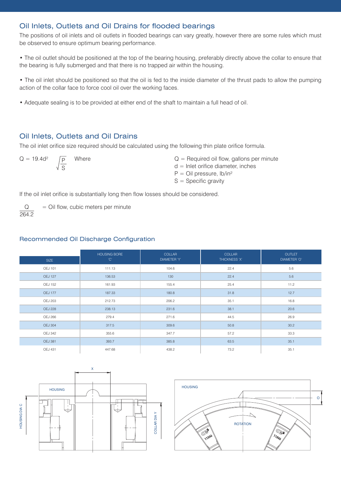## Oil Inlets, Outlets and Oil Drains for flooded bearings

The positions of oil inlets and oil outlets in flooded bearings can vary greatly, however there are some rules which must be observed to ensure optimum bearing performance.

• The oil outlet should be positioned at the top of the bearing housing, preferably directly above the collar to ensure that the bearing is fully submerged and that there is no trapped air within the housing.

• The oil inlet should be positioned so that the oil is fed to the inside diameter of the thrust pads to allow the pumping action of the collar face to force cool oil over the working faces.

• Adequate sealing is to be provided at either end of the shaft to maintain a full head of oil.

#### Oil Inlets, Outlets and Oil Drains

The oil inlet orifice size required should be calculated using the following thin plate orifice formula.

 $Q = 19.4d^2$   $\sqrt{p}$  Where P S

 $Q =$  Required oil flow, gallons per minute

- $d =$  Inlet orifice diameter, inches
- $P =$  Oil pressure,  $lb/in^2$
- $S =$  Specific gravity

If the oil inlet orifice is substantially long then flow losses should be considered.

= Oil flow, cubic meters per minute Q 264.2

#### Recommended Oil Discharge Configuration

| <b>SIZE</b>    | <b>HOUSING BORE</b><br>'C' | <b>COLLAR</b><br><b>DIAMETER 'Y'</b> | <b>COLLAR</b><br>THICKNESS 'X' | <b>OUTLET</b><br>DIAMETER 'O' |
|----------------|----------------------------|--------------------------------------|--------------------------------|-------------------------------|
|                |                            |                                      |                                |                               |
| <b>OEJ 101</b> | 111.13                     | 104.6                                | 22.4                           | 5.6                           |
| <b>OEJ 127</b> | 136.53                     | 130                                  | 22.4                           | 5.6                           |
| <b>OEJ 152</b> | 161.93                     | 155.4                                | 25.4                           | 11.2                          |
| <b>OEJ 177</b> | 187.33                     | 180.8                                | 31.8                           | 12.7                          |
| <b>OEJ 203</b> | 212.73                     | 206.2                                | 35.1                           | 16.8                          |
| <b>OEJ 228</b> | 238.13                     | 231.6                                | 38.1                           | 20.6                          |
| <b>OEJ 266</b> | 279.4                      | 271.6                                | 44.5                           | 26.9                          |
| <b>OEJ 304</b> | 317.5                      | 309.6                                | 50.8                           | 30.2                          |
| <b>OEJ 342</b> | 355.6                      | 347.7                                | 57.2                           | 33.3                          |
| <b>OEJ 381</b> | 393.7                      | 385.8                                | 63.5                           | 35.1                          |
| <b>OEJ 431</b> | 447.68                     | 438.2                                | 73.2                           | 35.1                          |



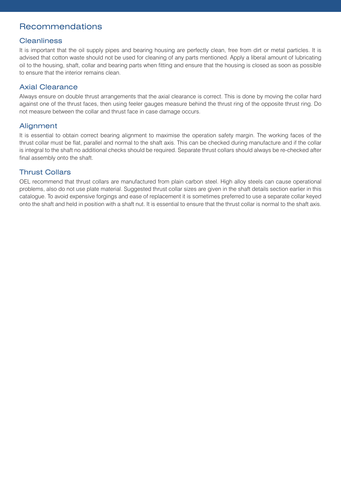## Recommendations

#### **Cleanliness**

It is important that the oil supply pipes and bearing housing are perfectly clean, free from dirt or metal particles. It is advised that cotton waste should not be used for cleaning of any parts mentioned. Apply a liberal amount of lubricating oil to the housing, shaft, collar and bearing parts when fitting and ensure that the housing is closed as soon as possible to ensure that the interior remains clean.

#### Axial Clearance

Always ensure on double thrust arrangements that the axial clearance is correct. This is done by moving the collar hard against one of the thrust faces, then using feeler gauges measure behind the thrust ring of the opposite thrust ring. Do not measure between the collar and thrust face in case damage occurs.

## **Alignment**

It is essential to obtain correct bearing alignment to maximise the operation safety margin. The working faces of the thrust collar must be flat, parallel and normal to the shaft axis. This can be checked during manufacture and if the collar is integral to the shaft no additional checks should be required. Separate thrust collars should always be re-checked after final assembly onto the shaft.

## Thrust Collars

OEL recommend that thrust collars are manufactured from plain carbon steel. High alloy steels can cause operational problems, also do not use plate material. Suggested thrust collar sizes are given in the shaft details section earlier in this catalogue. To avoid expensive forgings and ease of replacement it is sometimes preferred to use a separate collar keyed onto the shaft and held in position with a shaft nut. It is essential to ensure that the thrust collar is normal to the shaft axis.